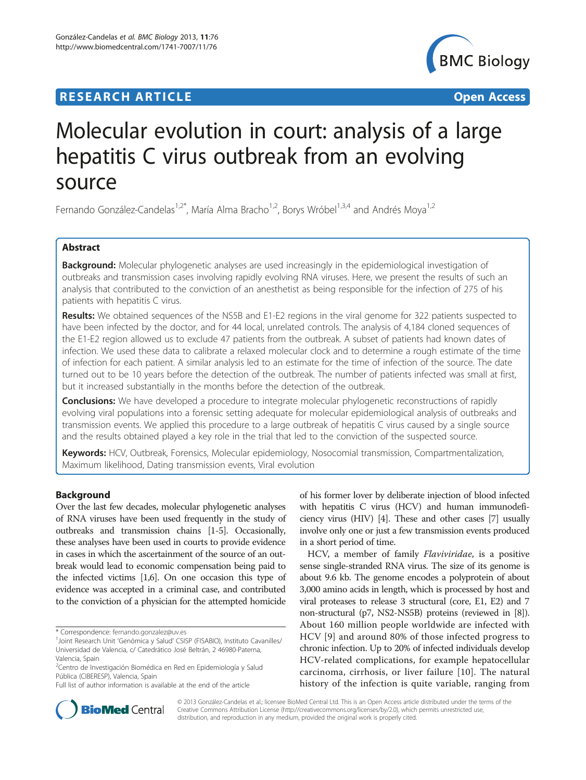# **RESEARCH ARTICLE Example 2014 CONSIDERING A RESEARCH ARTICLE**



# Molecular evolution in court: analysis of a large hepatitis C virus outbreak from an evolving source

Fernando González-Candelas<sup>1,2\*</sup>, María Alma Bracho<sup>1,2</sup>, Borys Wróbel<sup>1,3,4</sup> and Andrés Moya<sup>1,2</sup>

# Abstract

Background: Molecular phylogenetic analyses are used increasingly in the epidemiological investigation of outbreaks and transmission cases involving rapidly evolving RNA viruses. Here, we present the results of such an analysis that contributed to the conviction of an anesthetist as being responsible for the infection of 275 of his patients with hepatitis C virus.

Results: We obtained sequences of the NS5B and E1-E2 regions in the viral genome for 322 patients suspected to have been infected by the doctor, and for 44 local, unrelated controls. The analysis of 4,184 cloned sequences of the E1-E2 region allowed us to exclude 47 patients from the outbreak. A subset of patients had known dates of infection. We used these data to calibrate a relaxed molecular clock and to determine a rough estimate of the time of infection for each patient. A similar analysis led to an estimate for the time of infection of the source. The date turned out to be 10 years before the detection of the outbreak. The number of patients infected was small at first, but it increased substantially in the months before the detection of the outbreak.

**Conclusions:** We have developed a procedure to integrate molecular phylogenetic reconstructions of rapidly evolving viral populations into a forensic setting adequate for molecular epidemiological analysis of outbreaks and transmission events. We applied this procedure to a large outbreak of hepatitis C virus caused by a single source and the results obtained played a key role in the trial that led to the conviction of the suspected source.

Keywords: HCV, Outbreak, Forensics, Molecular epidemiology, Nosocomial transmission, Compartmentalization, Maximum likelihood, Dating transmission events, Viral evolution

# Background

Over the last few decades, molecular phylogenetic analyses of RNA viruses have been used frequently in the study of outbreaks and transmission chains [\[1-5](#page-11-0)]. Occasionally, these analyses have been used in courts to provide evidence in cases in which the ascertainment of the source of an outbreak would lead to economic compensation being paid to the infected victims [[1,6](#page-11-0)]. On one occasion this type of evidence was accepted in a criminal case, and contributed to the conviction of a physician for the attempted homicide

of his former lover by deliberate injection of blood infected with hepatitis C virus (HCV) and human immunodeficiency virus (HIV) [\[4\]](#page-11-0). These and other cases [\[7](#page-11-0)] usually involve only one or just a few transmission events produced in a short period of time.

HCV, a member of family Flaviviridae, is a positive sense single-stranded RNA virus. The size of its genome is about 9.6 kb. The genome encodes a polyprotein of about 3,000 amino acids in length, which is processed by host and viral proteases to release 3 structural (core, E1, E2) and 7 non-structural (p7, NS2-NS5B) proteins (reviewed in [[8](#page-11-0)]). About 160 million people worldwide are infected with HCV [[9](#page-11-0)] and around 80% of those infected progress to chronic infection. Up to 20% of infected individuals develop HCV-related complications, for example hepatocellular carcinoma, cirrhosis, or liver failure [[10](#page-11-0)]. The natural history of the infection is quite variable, ranging from



© 2013 González-Candelas et al.; licensee BioMed Central Ltd. This is an Open Access article distributed under the terms of the Creative Commons Attribution License (<http://creativecommons.org/licenses/by/2.0>), which permits unrestricted use, distribution, and reproduction in any medium, provided the original work is properly cited.

<sup>\*</sup> Correspondence: [fernando.gonzalez@uv.es](mailto:fernando.gonzalez@uv.es) <sup>1</sup>

<sup>&</sup>lt;sup>1</sup> Joint Research Unit 'Genómica y Salud' CSISP (FISABIO), Instituto Cavanilles/ Universidad de Valencia, c/ Catedrático José Beltrán, 2 46980-Paterna, Valencia, Spain

<sup>2</sup> Centro de Investigación Biomédica en Red en Epidemiología y Salud Pública (CIBERESP), Valencia, Spain

Full list of author information is available at the end of the article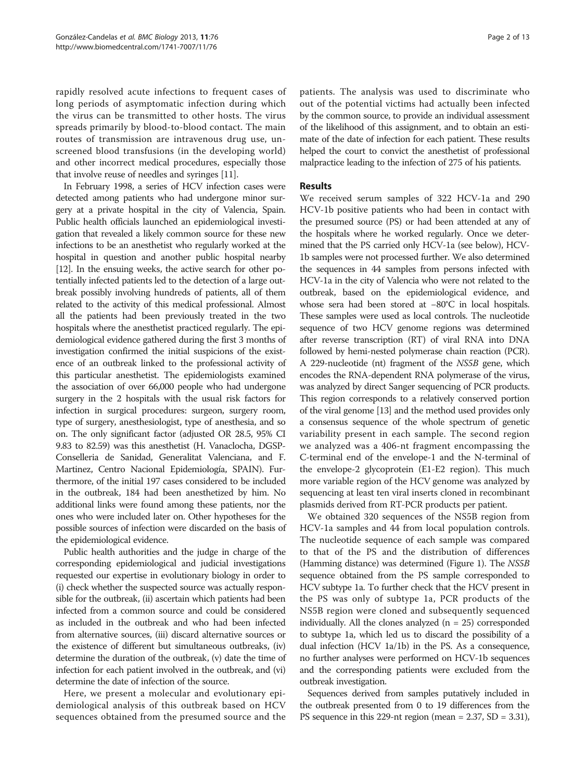rapidly resolved acute infections to frequent cases of long periods of asymptomatic infection during which the virus can be transmitted to other hosts. The virus spreads primarily by blood-to-blood contact. The main routes of transmission are intravenous drug use, unscreened blood transfusions (in the developing world) and other incorrect medical procedures, especially those that involve reuse of needles and syringes [[11](#page-11-0)].

In February 1998, a series of HCV infection cases were detected among patients who had undergone minor surgery at a private hospital in the city of Valencia, Spain. Public health officials launched an epidemiological investigation that revealed a likely common source for these new infections to be an anesthetist who regularly worked at the hospital in question and another public hospital nearby [[12](#page-11-0)]. In the ensuing weeks, the active search for other potentially infected patients led to the detection of a large outbreak possibly involving hundreds of patients, all of them related to the activity of this medical professional. Almost all the patients had been previously treated in the two hospitals where the anesthetist practiced regularly. The epidemiological evidence gathered during the first 3 months of investigation confirmed the initial suspicions of the existence of an outbreak linked to the professional activity of this particular anesthetist. The epidemiologists examined the association of over 66,000 people who had undergone surgery in the 2 hospitals with the usual risk factors for infection in surgical procedures: surgeon, surgery room, type of surgery, anesthesiologist, type of anesthesia, and so on. The only significant factor (adjusted OR 28.5, 95% CI 9.83 to 82.59) was this anesthetist (H. Vanaclocha, DGSP-Conselleria de Sanidad, Generalitat Valenciana, and F. Martinez, Centro Nacional Epidemiología, SPAIN). Furthermore, of the initial 197 cases considered to be included in the outbreak, 184 had been anesthetized by him. No additional links were found among these patients, nor the ones who were included later on. Other hypotheses for the possible sources of infection were discarded on the basis of the epidemiological evidence.

Public health authorities and the judge in charge of the corresponding epidemiological and judicial investigations requested our expertise in evolutionary biology in order to (i) check whether the suspected source was actually responsible for the outbreak, (ii) ascertain which patients had been infected from a common source and could be considered as included in the outbreak and who had been infected from alternative sources, (iii) discard alternative sources or the existence of different but simultaneous outbreaks, (iv) determine the duration of the outbreak, (v) date the time of infection for each patient involved in the outbreak, and (vi) determine the date of infection of the source.

Here, we present a molecular and evolutionary epidemiological analysis of this outbreak based on HCV sequences obtained from the presumed source and the

patients. The analysis was used to discriminate who out of the potential victims had actually been infected by the common source, to provide an individual assessment of the likelihood of this assignment, and to obtain an estimate of the date of infection for each patient. These results helped the court to convict the anesthetist of professional malpractice leading to the infection of 275 of his patients.

# Results

We received serum samples of 322 HCV-1a and 290 HCV-1b positive patients who had been in contact with the presumed source (PS) or had been attended at any of the hospitals where he worked regularly. Once we determined that the PS carried only HCV-1a (see below), HCV-1b samples were not processed further. We also determined the sequences in 44 samples from persons infected with HCV-1a in the city of Valencia who were not related to the outbreak, based on the epidemiological evidence, and whose sera had been stored at −80°C in local hospitals. These samples were used as local controls. The nucleotide sequence of two HCV genome regions was determined after reverse transcription (RT) of viral RNA into DNA followed by hemi-nested polymerase chain reaction (PCR). A 229-nucleotide (nt) fragment of the NS5B gene, which encodes the RNA-dependent RNA polymerase of the virus, was analyzed by direct Sanger sequencing of PCR products. This region corresponds to a relatively conserved portion of the viral genome [[13](#page-11-0)] and the method used provides only a consensus sequence of the whole spectrum of genetic variability present in each sample. The second region we analyzed was a 406-nt fragment encompassing the C-terminal end of the envelope-1 and the N-terminal of the envelope-2 glycoprotein (E1-E2 region). This much more variable region of the HCV genome was analyzed by sequencing at least ten viral inserts cloned in recombinant plasmids derived from RT-PCR products per patient.

We obtained 320 sequences of the NS5B region from HCV-1a samples and 44 from local population controls. The nucleotide sequence of each sample was compared to that of the PS and the distribution of differences (Hamming distance) was determined (Figure [1](#page-2-0)). The NS5B sequence obtained from the PS sample corresponded to HCV subtype 1a. To further check that the HCV present in the PS was only of subtype 1a, PCR products of the NS5B region were cloned and subsequently sequenced individually. All the clones analyzed  $(n = 25)$  corresponded to subtype 1a, which led us to discard the possibility of a dual infection (HCV 1a/1b) in the PS. As a consequence, no further analyses were performed on HCV-1b sequences and the corresponding patients were excluded from the outbreak investigation.

Sequences derived from samples putatively included in the outbreak presented from 0 to 19 differences from the PS sequence in this 229-nt region (mean =  $2.37$ , SD =  $3.31$ ),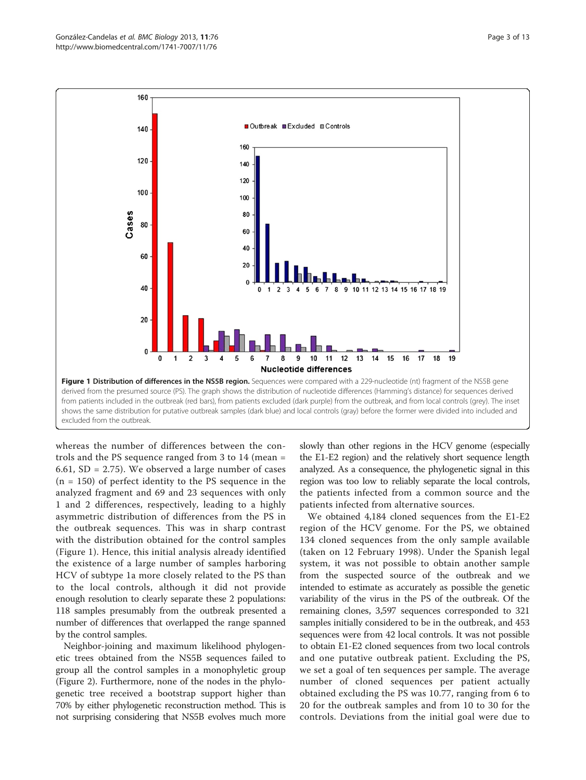<span id="page-2-0"></span>

whereas the number of differences between the controls and the PS sequence ranged from 3 to 14 (mean = 6.61,  $SD = 2.75$ ). We observed a large number of cases  $(n = 150)$  of perfect identity to the PS sequence in the analyzed fragment and 69 and 23 sequences with only 1 and 2 differences, respectively, leading to a highly asymmetric distribution of differences from the PS in the outbreak sequences. This was in sharp contrast with the distribution obtained for the control samples (Figure 1). Hence, this initial analysis already identified the existence of a large number of samples harboring HCV of subtype 1a more closely related to the PS than to the local controls, although it did not provide enough resolution to clearly separate these 2 populations: 118 samples presumably from the outbreak presented a number of differences that overlapped the range spanned by the control samples.

Neighbor-joining and maximum likelihood phylogenetic trees obtained from the NS5B sequences failed to group all the control samples in a monophyletic group (Figure [2\)](#page-3-0). Furthermore, none of the nodes in the phylogenetic tree received a bootstrap support higher than 70% by either phylogenetic reconstruction method. This is not surprising considering that NS5B evolves much more slowly than other regions in the HCV genome (especially the E1-E2 region) and the relatively short sequence length analyzed. As a consequence, the phylogenetic signal in this region was too low to reliably separate the local controls, the patients infected from a common source and the patients infected from alternative sources.

We obtained 4,184 cloned sequences from the E1-E2 region of the HCV genome. For the PS, we obtained 134 cloned sequences from the only sample available (taken on 12 February 1998). Under the Spanish legal system, it was not possible to obtain another sample from the suspected source of the outbreak and we intended to estimate as accurately as possible the genetic variability of the virus in the PS of the outbreak. Of the remaining clones, 3,597 sequences corresponded to 321 samples initially considered to be in the outbreak, and 453 sequences were from 42 local controls. It was not possible to obtain E1-E2 cloned sequences from two local controls and one putative outbreak patient. Excluding the PS, we set a goal of ten sequences per sample. The average number of cloned sequences per patient actually obtained excluding the PS was 10.77, ranging from 6 to 20 for the outbreak samples and from 10 to 30 for the controls. Deviations from the initial goal were due to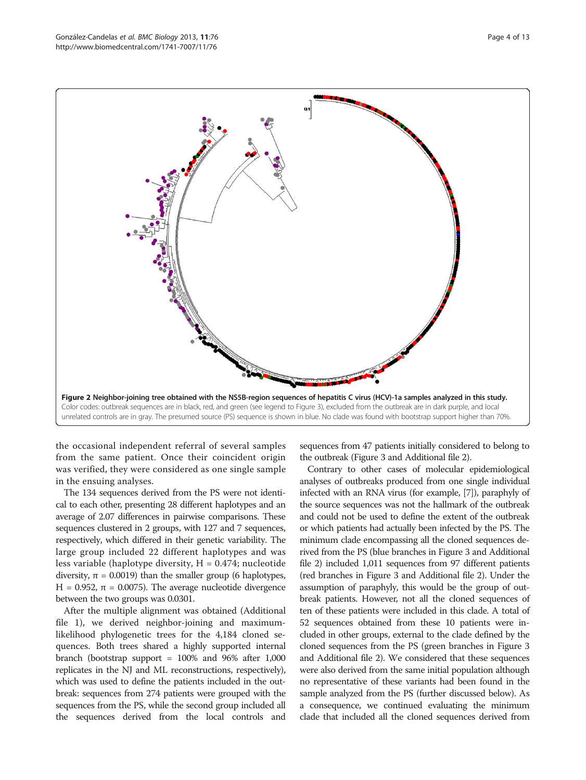<span id="page-3-0"></span>

the occasional independent referral of several samples from the same patient. Once their coincident origin was verified, they were considered as one single sample in the ensuing analyses.

The 134 sequences derived from the PS were not identical to each other, presenting 28 different haplotypes and an average of 2.07 differences in pairwise comparisons. These sequences clustered in 2 groups, with 127 and 7 sequences, respectively, which differed in their genetic variability. The large group included 22 different haplotypes and was less variable (haplotype diversity, H = 0.474; nucleotide diversity,  $\pi = 0.0019$ ) than the smaller group (6 haplotypes,  $H = 0.952$ , π = 0.0075). The average nucleotide divergence between the two groups was 0.0301.

After the multiple alignment was obtained (Additional file [1\)](#page-10-0), we derived neighbor-joining and maximumlikelihood phylogenetic trees for the 4,184 cloned sequences. Both trees shared a highly supported internal branch (bootstrap support = 100% and 96% after 1,000 replicates in the NJ and ML reconstructions, respectively), which was used to define the patients included in the outbreak: sequences from 274 patients were grouped with the sequences from the PS, while the second group included all the sequences derived from the local controls and

sequences from 47 patients initially considered to belong to the outbreak (Figure [3](#page-4-0) and Additional file [2](#page-10-0)).

Contrary to other cases of molecular epidemiological analyses of outbreaks produced from one single individual infected with an RNA virus (for example, [\[7\]](#page-11-0)), paraphyly of the source sequences was not the hallmark of the outbreak and could not be used to define the extent of the outbreak or which patients had actually been infected by the PS. The minimum clade encompassing all the cloned sequences derived from the PS (blue branches in Figure [3](#page-4-0) and Additional file [2\)](#page-10-0) included 1,011 sequences from 97 different patients (red branches in Figure [3](#page-4-0) and Additional file [2\)](#page-10-0). Under the assumption of paraphyly, this would be the group of outbreak patients. However, not all the cloned sequences of ten of these patients were included in this clade. A total of 52 sequences obtained from these 10 patients were included in other groups, external to the clade defined by the cloned sequences from the PS (green branches in Figure [3](#page-4-0) and Additional file [2](#page-10-0)). We considered that these sequences were also derived from the same initial population although no representative of these variants had been found in the sample analyzed from the PS (further discussed below). As a consequence, we continued evaluating the minimum clade that included all the cloned sequences derived from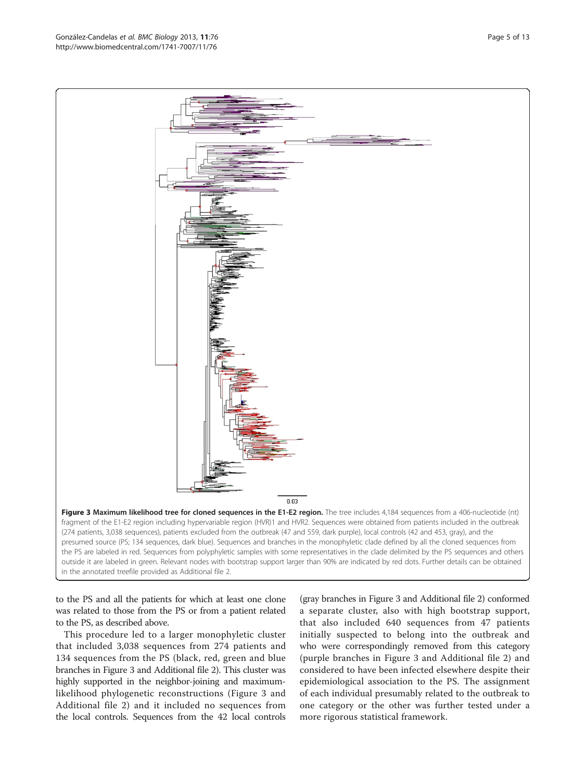to the PS and all the patients for which at least one clone was related to those from the PS or from a patient related to the PS, as described above.

This procedure led to a larger monophyletic cluster that included 3,038 sequences from 274 patients and 134 sequences from the PS (black, red, green and blue branches in Figure 3 and Additional file [2](#page-10-0)). This cluster was highly supported in the neighbor-joining and maximumlikelihood phylogenetic reconstructions (Figure 3 and Additional file [2\)](#page-10-0) and it included no sequences from the local controls. Sequences from the 42 local controls

(gray branches in Figure 3 and Additional file [2\)](#page-10-0) conformed a separate cluster, also with high bootstrap support, that also included 640 sequences from 47 patients initially suspected to belong into the outbreak and who were correspondingly removed from this category (purple branches in Figure 3 and Additional file [2\)](#page-10-0) and considered to have been infected elsewhere despite their epidemiological association to the PS. The assignment of each individual presumably related to the outbreak to one category or the other was further tested under a more rigorous statistical framework.

<span id="page-4-0"></span>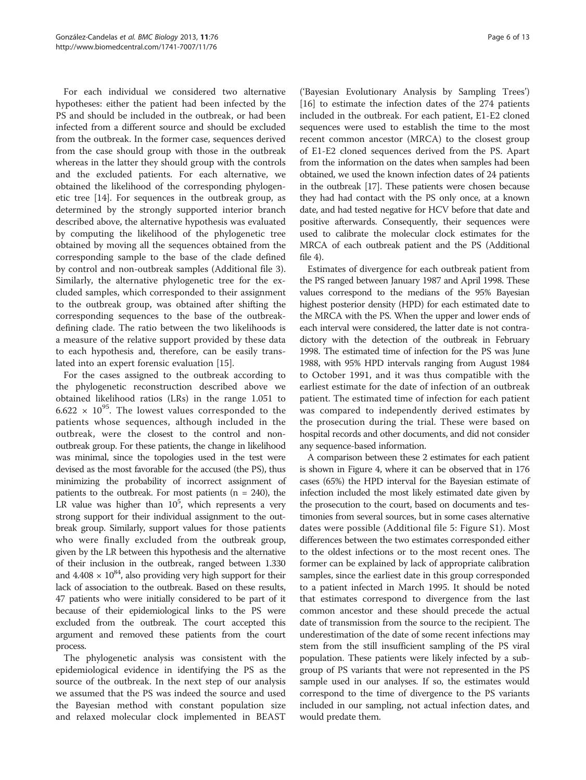For each individual we considered two alternative hypotheses: either the patient had been infected by the PS and should be included in the outbreak, or had been infected from a different source and should be excluded from the outbreak. In the former case, sequences derived from the case should group with those in the outbreak whereas in the latter they should group with the controls and the excluded patients. For each alternative, we obtained the likelihood of the corresponding phylogenetic tree [[14\]](#page-11-0). For sequences in the outbreak group, as determined by the strongly supported interior branch described above, the alternative hypothesis was evaluated by computing the likelihood of the phylogenetic tree obtained by moving all the sequences obtained from the corresponding sample to the base of the clade defined by control and non-outbreak samples (Additional file [3](#page-11-0)). Similarly, the alternative phylogenetic tree for the excluded samples, which corresponded to their assignment to the outbreak group, was obtained after shifting the corresponding sequences to the base of the outbreakdefining clade. The ratio between the two likelihoods is a measure of the relative support provided by these data to each hypothesis and, therefore, can be easily translated into an expert forensic evaluation [\[15\]](#page-11-0).

For the cases assigned to the outbreak according to the phylogenetic reconstruction described above we obtained likelihood ratios (LRs) in the range 1.051 to 6.622  $\times$  10<sup>95</sup>. The lowest values corresponded to the patients whose sequences, although included in the outbreak, were the closest to the control and nonoutbreak group. For these patients, the change in likelihood was minimal, since the topologies used in the test were devised as the most favorable for the accused (the PS), thus minimizing the probability of incorrect assignment of patients to the outbreak. For most patients  $(n = 240)$ , the LR value was higher than  $10^5$ , which represents a very strong support for their individual assignment to the outbreak group. Similarly, support values for those patients who were finally excluded from the outbreak group, given by the LR between this hypothesis and the alternative of their inclusion in the outbreak, ranged between 1.330 and  $4.408 \times 10^{84}$ , also providing very high support for their lack of association to the outbreak. Based on these results, 47 patients who were initially considered to be part of it because of their epidemiological links to the PS were excluded from the outbreak. The court accepted this argument and removed these patients from the court process.

The phylogenetic analysis was consistent with the epidemiological evidence in identifying the PS as the source of the outbreak. In the next step of our analysis we assumed that the PS was indeed the source and used the Bayesian method with constant population size and relaxed molecular clock implemented in BEAST

('Bayesian Evolutionary Analysis by Sampling Trees') [[16\]](#page-11-0) to estimate the infection dates of the 274 patients included in the outbreak. For each patient, E1-E2 cloned sequences were used to establish the time to the most recent common ancestor (MRCA) to the closest group of E1-E2 cloned sequences derived from the PS. Apart from the information on the dates when samples had been obtained, we used the known infection dates of 24 patients in the outbreak [[17](#page-11-0)]. These patients were chosen because they had had contact with the PS only once, at a known date, and had tested negative for HCV before that date and positive afterwards. Consequently, their sequences were used to calibrate the molecular clock estimates for the MRCA of each outbreak patient and the PS (Additional file [4\)](#page-11-0).

Estimates of divergence for each outbreak patient from the PS ranged between January 1987 and April 1998. These values correspond to the medians of the 95% Bayesian highest posterior density (HPD) for each estimated date to the MRCA with the PS. When the upper and lower ends of each interval were considered, the latter date is not contradictory with the detection of the outbreak in February 1998. The estimated time of infection for the PS was June 1988, with 95% HPD intervals ranging from August 1984 to October 1991, and it was thus compatible with the earliest estimate for the date of infection of an outbreak patient. The estimated time of infection for each patient was compared to independently derived estimates by the prosecution during the trial. These were based on hospital records and other documents, and did not consider any sequence-based information.

A comparison between these 2 estimates for each patient is shown in Figure [4](#page-6-0), where it can be observed that in 176 cases (65%) the HPD interval for the Bayesian estimate of infection included the most likely estimated date given by the prosecution to the court, based on documents and testimonies from several sources, but in some cases alternative dates were possible (Additional file [5:](#page-11-0) Figure S1). Most differences between the two estimates corresponded either to the oldest infections or to the most recent ones. The former can be explained by lack of appropriate calibration samples, since the earliest date in this group corresponded to a patient infected in March 1995. It should be noted that estimates correspond to divergence from the last common ancestor and these should precede the actual date of transmission from the source to the recipient. The underestimation of the date of some recent infections may stem from the still insufficient sampling of the PS viral population. These patients were likely infected by a subgroup of PS variants that were not represented in the PS sample used in our analyses. If so, the estimates would correspond to the time of divergence to the PS variants included in our sampling, not actual infection dates, and would predate them.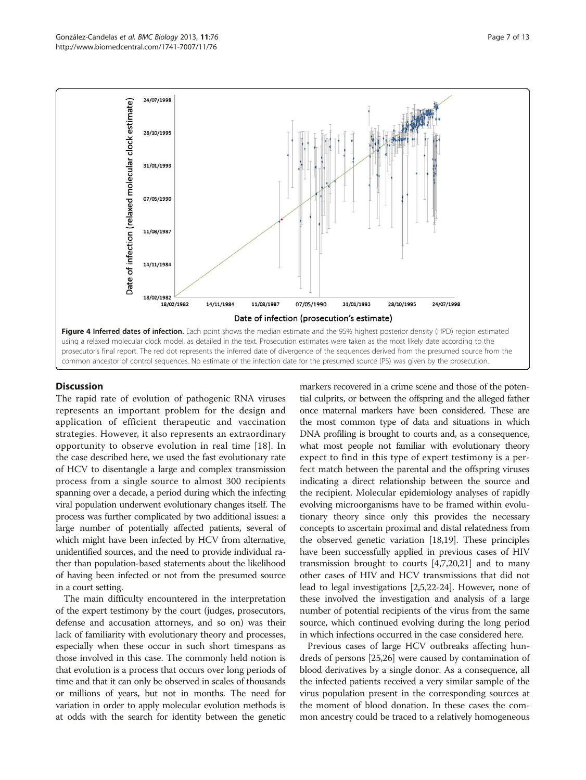<span id="page-6-0"></span>

# **Discussion**

The rapid rate of evolution of pathogenic RNA viruses represents an important problem for the design and application of efficient therapeutic and vaccination strategies. However, it also represents an extraordinary opportunity to observe evolution in real time [[18](#page-11-0)]. In the case described here, we used the fast evolutionary rate of HCV to disentangle a large and complex transmission process from a single source to almost 300 recipients spanning over a decade, a period during which the infecting viral population underwent evolutionary changes itself. The process was further complicated by two additional issues: a large number of potentially affected patients, several of which might have been infected by HCV from alternative, unidentified sources, and the need to provide individual rather than population-based statements about the likelihood of having been infected or not from the presumed source in a court setting.

The main difficulty encountered in the interpretation of the expert testimony by the court (judges, prosecutors, defense and accusation attorneys, and so on) was their lack of familiarity with evolutionary theory and processes, especially when these occur in such short timespans as those involved in this case. The commonly held notion is that evolution is a process that occurs over long periods of time and that it can only be observed in scales of thousands or millions of years, but not in months. The need for variation in order to apply molecular evolution methods is at odds with the search for identity between the genetic

markers recovered in a crime scene and those of the potential culprits, or between the offspring and the alleged father once maternal markers have been considered. These are the most common type of data and situations in which DNA profiling is brought to courts and, as a consequence, what most people not familiar with evolutionary theory expect to find in this type of expert testimony is a perfect match between the parental and the offspring viruses indicating a direct relationship between the source and the recipient. Molecular epidemiology analyses of rapidly evolving microorganisms have to be framed within evolutionary theory since only this provides the necessary concepts to ascertain proximal and distal relatedness from the observed genetic variation [\[18,19\]](#page-11-0). These principles have been successfully applied in previous cases of HIV transmission brought to courts [[4,7,20,21\]](#page-11-0) and to many other cases of HIV and HCV transmissions that did not lead to legal investigations [\[2,5,22-24\]](#page-11-0). However, none of these involved the investigation and analysis of a large number of potential recipients of the virus from the same source, which continued evolving during the long period in which infections occurred in the case considered here.

Previous cases of large HCV outbreaks affecting hundreds of persons [\[25,26\]](#page-11-0) were caused by contamination of blood derivatives by a single donor. As a consequence, all the infected patients received a very similar sample of the virus population present in the corresponding sources at the moment of blood donation. In these cases the common ancestry could be traced to a relatively homogeneous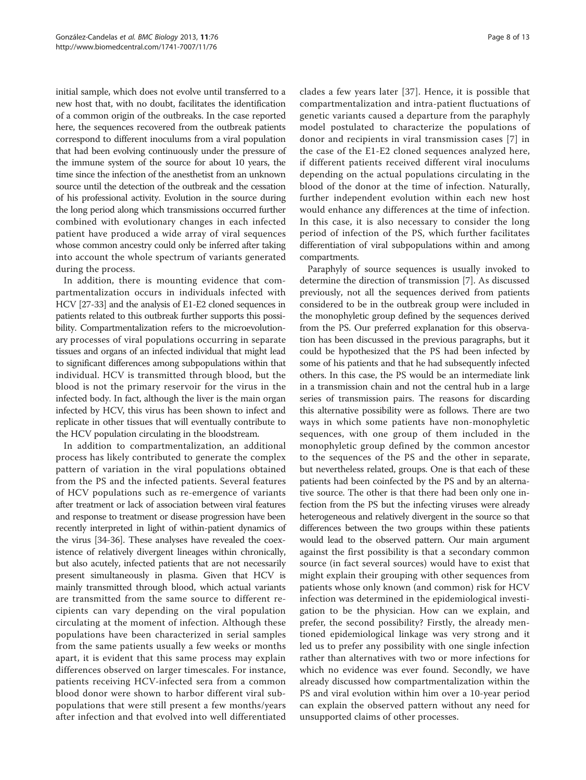initial sample, which does not evolve until transferred to a new host that, with no doubt, facilitates the identification of a common origin of the outbreaks. In the case reported here, the sequences recovered from the outbreak patients correspond to different inoculums from a viral population that had been evolving continuously under the pressure of the immune system of the source for about 10 years, the time since the infection of the anesthetist from an unknown source until the detection of the outbreak and the cessation of his professional activity. Evolution in the source during the long period along which transmissions occurred further combined with evolutionary changes in each infected patient have produced a wide array of viral sequences whose common ancestry could only be inferred after taking into account the whole spectrum of variants generated during the process.

In addition, there is mounting evidence that compartmentalization occurs in individuals infected with HCV [\[27-33](#page-12-0)] and the analysis of E1-E2 cloned sequences in patients related to this outbreak further supports this possibility. Compartmentalization refers to the microevolutionary processes of viral populations occurring in separate tissues and organs of an infected individual that might lead to significant differences among subpopulations within that individual. HCV is transmitted through blood, but the blood is not the primary reservoir for the virus in the infected body. In fact, although the liver is the main organ infected by HCV, this virus has been shown to infect and replicate in other tissues that will eventually contribute to the HCV population circulating in the bloodstream.

In addition to compartmentalization, an additional process has likely contributed to generate the complex pattern of variation in the viral populations obtained from the PS and the infected patients. Several features of HCV populations such as re-emergence of variants after treatment or lack of association between viral features and response to treatment or disease progression have been recently interpreted in light of within-patient dynamics of the virus [\[34-36\]](#page-12-0). These analyses have revealed the coexistence of relatively divergent lineages within chronically, but also acutely, infected patients that are not necessarily present simultaneously in plasma. Given that HCV is mainly transmitted through blood, which actual variants are transmitted from the same source to different recipients can vary depending on the viral population circulating at the moment of infection. Although these populations have been characterized in serial samples from the same patients usually a few weeks or months apart, it is evident that this same process may explain differences observed on larger timescales. For instance, patients receiving HCV-infected sera from a common blood donor were shown to harbor different viral subpopulations that were still present a few months/years after infection and that evolved into well differentiated

clades a few years later [[37](#page-12-0)]. Hence, it is possible that compartmentalization and intra-patient fluctuations of genetic variants caused a departure from the paraphyly model postulated to characterize the populations of donor and recipients in viral transmission cases [\[7\]](#page-11-0) in the case of the E1-E2 cloned sequences analyzed here, if different patients received different viral inoculums depending on the actual populations circulating in the blood of the donor at the time of infection. Naturally, further independent evolution within each new host would enhance any differences at the time of infection. In this case, it is also necessary to consider the long period of infection of the PS, which further facilitates differentiation of viral subpopulations within and among compartments.

Paraphyly of source sequences is usually invoked to determine the direction of transmission [\[7](#page-11-0)]. As discussed previously, not all the sequences derived from patients considered to be in the outbreak group were included in the monophyletic group defined by the sequences derived from the PS. Our preferred explanation for this observation has been discussed in the previous paragraphs, but it could be hypothesized that the PS had been infected by some of his patients and that he had subsequently infected others. In this case, the PS would be an intermediate link in a transmission chain and not the central hub in a large series of transmission pairs. The reasons for discarding this alternative possibility were as follows. There are two ways in which some patients have non-monophyletic sequences, with one group of them included in the monophyletic group defined by the common ancestor to the sequences of the PS and the other in separate, but nevertheless related, groups. One is that each of these patients had been coinfected by the PS and by an alternative source. The other is that there had been only one infection from the PS but the infecting viruses were already heterogeneous and relatively divergent in the source so that differences between the two groups within these patients would lead to the observed pattern. Our main argument against the first possibility is that a secondary common source (in fact several sources) would have to exist that might explain their grouping with other sequences from patients whose only known (and common) risk for HCV infection was determined in the epidemiological investigation to be the physician. How can we explain, and prefer, the second possibility? Firstly, the already mentioned epidemiological linkage was very strong and it led us to prefer any possibility with one single infection rather than alternatives with two or more infections for which no evidence was ever found. Secondly, we have already discussed how compartmentalization within the PS and viral evolution within him over a 10-year period can explain the observed pattern without any need for unsupported claims of other processes.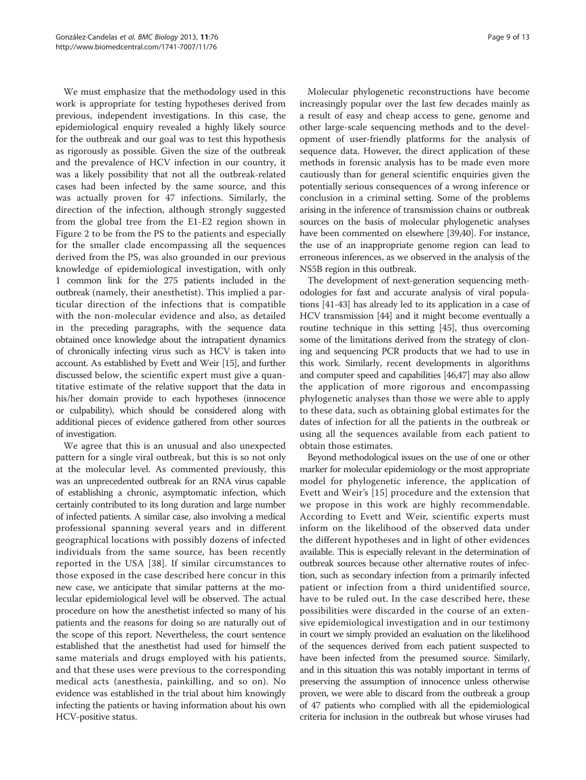We must emphasize that the methodology used in this work is appropriate for testing hypotheses derived from previous, independent investigations. In this case, the epidemiological enquiry revealed a highly likely source for the outbreak and our goal was to test this hypothesis as rigorously as possible. Given the size of the outbreak and the prevalence of HCV infection in our country, it was a likely possibility that not all the outbreak-related cases had been infected by the same source, and this was actually proven for 47 infections. Similarly, the direction of the infection, although strongly suggested from the global tree from the E1-E2 region shown in Figure [2](#page-3-0) to be from the PS to the patients and especially for the smaller clade encompassing all the sequences derived from the PS, was also grounded in our previous knowledge of epidemiological investigation, with only 1 common link for the 275 patients included in the outbreak (namely, their anesthetist). This implied a particular direction of the infections that is compatible with the non-molecular evidence and also, as detailed in the preceding paragraphs, with the sequence data obtained once knowledge about the intrapatient dynamics of chronically infecting virus such as HCV is taken into account. As established by Evett and Weir [[15](#page-11-0)], and further discussed below, the scientific expert must give a quantitative estimate of the relative support that the data in his/her domain provide to each hypotheses (innocence or culpability), which should be considered along with additional pieces of evidence gathered from other sources of investigation.

We agree that this is an unusual and also unexpected pattern for a single viral outbreak, but this is so not only at the molecular level. As commented previously, this was an unprecedented outbreak for an RNA virus capable of establishing a chronic, asymptomatic infection, which certainly contributed to its long duration and large number of infected patients. A similar case, also involving a medical professional spanning several years and in different geographical locations with possibly dozens of infected individuals from the same source, has been recently reported in the USA [[38](#page-12-0)]. If similar circumstances to those exposed in the case described here concur in this new case, we anticipate that similar patterns at the molecular epidemiological level will be observed. The actual procedure on how the anesthetist infected so many of his patients and the reasons for doing so are naturally out of the scope of this report. Nevertheless, the court sentence established that the anesthetist had used for himself the same materials and drugs employed with his patients, and that these uses were previous to the corresponding medical acts (anesthesia, painkilling, and so on). No evidence was established in the trial about him knowingly infecting the patients or having information about his own HCV-positive status.

Molecular phylogenetic reconstructions have become increasingly popular over the last few decades mainly as a result of easy and cheap access to gene, genome and other large-scale sequencing methods and to the development of user-friendly platforms for the analysis of sequence data. However, the direct application of these methods in forensic analysis has to be made even more cautiously than for general scientific enquiries given the potentially serious consequences of a wrong inference or conclusion in a criminal setting. Some of the problems arising in the inference of transmission chains or outbreak sources on the basis of molecular phylogenetic analyses have been commented on elsewhere [\[39,40\]](#page-12-0). For instance, the use of an inappropriate genome region can lead to erroneous inferences, as we observed in the analysis of the NS5B region in this outbreak.

The development of next-generation sequencing methodologies for fast and accurate analysis of viral populations [\[41](#page-12-0)-[43](#page-12-0)] has already led to its application in a case of HCV transmission [\[44\]](#page-12-0) and it might become eventually a routine technique in this setting [[45](#page-12-0)], thus overcoming some of the limitations derived from the strategy of cloning and sequencing PCR products that we had to use in this work. Similarly, recent developments in algorithms and computer speed and capabilities [\[46,47\]](#page-12-0) may also allow the application of more rigorous and encompassing phylogenetic analyses than those we were able to apply to these data, such as obtaining global estimates for the dates of infection for all the patients in the outbreak or using all the sequences available from each patient to obtain those estimates.

Beyond methodological issues on the use of one or other marker for molecular epidemiology or the most appropriate model for phylogenetic inference, the application of Evett and Weir's [[15](#page-11-0)] procedure and the extension that we propose in this work are highly recommendable. According to Evett and Weir, scientific experts must inform on the likelihood of the observed data under the different hypotheses and in light of other evidences available. This is especially relevant in the determination of outbreak sources because other alternative routes of infection, such as secondary infection from a primarily infected patient or infection from a third unidentified source, have to be ruled out. In the case described here, these possibilities were discarded in the course of an extensive epidemiological investigation and in our testimony in court we simply provided an evaluation on the likelihood of the sequences derived from each patient suspected to have been infected from the presumed source. Similarly, and in this situation this was notably important in terms of preserving the assumption of innocence unless otherwise proven, we were able to discard from the outbreak a group of 47 patients who complied with all the epidemiological criteria for inclusion in the outbreak but whose viruses had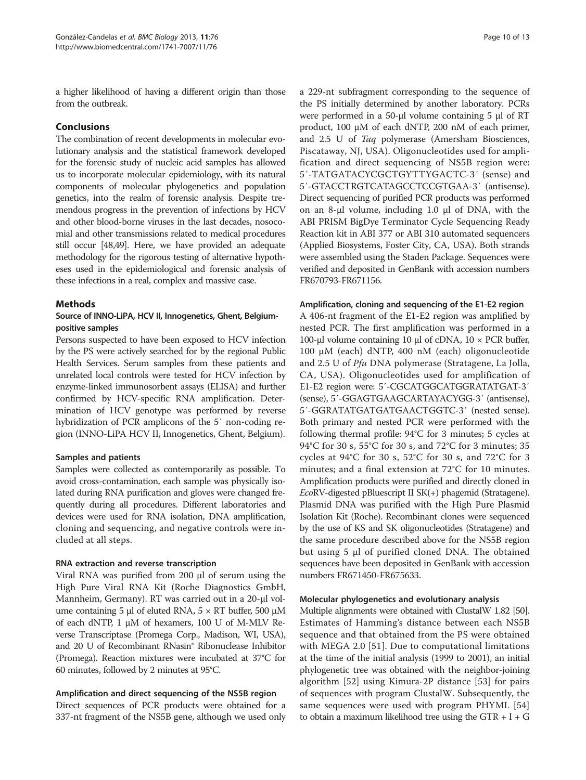a higher likelihood of having a different origin than those from the outbreak.

# Conclusions

The combination of recent developments in molecular evolutionary analysis and the statistical framework developed for the forensic study of nucleic acid samples has allowed us to incorporate molecular epidemiology, with its natural components of molecular phylogenetics and population genetics, into the realm of forensic analysis. Despite tremendous progress in the prevention of infections by HCV and other blood-borne viruses in the last decades, nosocomial and other transmissions related to medical procedures still occur [\[48,49](#page-12-0)]. Here, we have provided an adequate methodology for the rigorous testing of alternative hypotheses used in the epidemiological and forensic analysis of these infections in a real, complex and massive case.

# Methods

# Source of INNO-LiPA, HCV II, Innogenetics, Ghent, Belgiumpositive samples

Persons suspected to have been exposed to HCV infection by the PS were actively searched for by the regional Public Health Services. Serum samples from these patients and unrelated local controls were tested for HCV infection by enzyme-linked immunosorbent assays (ELISA) and further confirmed by HCV-specific RNA amplification. Determination of HCV genotype was performed by reverse hybridization of PCR amplicons of the 5′ non-coding region (INNO-LiPA HCV II, Innogenetics, Ghent, Belgium).

# Samples and patients

Samples were collected as contemporarily as possible. To avoid cross-contamination, each sample was physically isolated during RNA purification and gloves were changed frequently during all procedures. Different laboratories and devices were used for RNA isolation, DNA amplification, cloning and sequencing, and negative controls were included at all steps.

# RNA extraction and reverse transcription

Viral RNA was purified from 200 μl of serum using the High Pure Viral RNA Kit (Roche Diagnostics GmbH, Mannheim, Germany). RT was carried out in a 20-μl volume containing 5 μl of eluted RNA,  $5 \times RT$  buffer, 500 μM of each dNTP, 1 μM of hexamers, 100 U of M-MLV Reverse Transcriptase (Promega Corp., Madison, WI, USA), and 20 U of Recombinant RNasin® Ribonuclease Inhibitor (Promega). Reaction mixtures were incubated at 37°C for 60 minutes, followed by 2 minutes at 95°C.

# Amplification and direct sequencing of the NS5B region

Direct sequences of PCR products were obtained for a 337-nt fragment of the NS5B gene, although we used only

a 229-nt subfragment corresponding to the sequence of the PS initially determined by another laboratory. PCRs were performed in a 50-μl volume containing 5 μl of RT product, 100 μM of each dNTP, 200 nM of each primer, and 2.5 U of Taq polymerase (Amersham Biosciences, Piscataway, NJ, USA). Oligonucleotides used for amplification and direct sequencing of NS5B region were: 5′-TATGATACYCGCTGYTTYGACTC-3′ (sense) and 5′-GTACCTRGTCATAGCCTCCGTGAA-3′ (antisense). Direct sequencing of purified PCR products was performed on an 8-μl volume, including 1.0 μl of DNA, with the ABI PRISM BigDye Terminator Cycle Sequencing Ready Reaction kit in ABI 377 or ABI 310 automated sequencers (Applied Biosystems, Foster City, CA, USA). Both strands were assembled using the Staden Package. Sequences were verified and deposited in GenBank with accession numbers FR670793-FR671156.

#### Amplification, cloning and sequencing of the E1-E2 region

A 406-nt fragment of the E1-E2 region was amplified by nested PCR. The first amplification was performed in a 100-μl volume containing 10 μl of cDNA,  $10 \times PCR$  buffer, 100 μM (each) dNTP, 400 nM (each) oligonucleotide and 2.5 U of Pfu DNA polymerase (Stratagene, La Jolla, CA, USA). Oligonucleotides used for amplification of E1-E2 region were: 5′-CGCATGGCATGGRATATGAT-3′ (sense), 5′-GGAGTGAAGCARTAYACYGG-3′ (antisense), 5′-GGRATATGATGATGAACTGGTC-3′ (nested sense). Both primary and nested PCR were performed with the following thermal profile: 94°C for 3 minutes; 5 cycles at 94°C for 30 s, 55°C for 30 s, and 72°C for 3 minutes; 35 cycles at 94°C for 30 s, 52°C for 30 s, and 72°C for 3 minutes; and a final extension at 72°C for 10 minutes. Amplification products were purified and directly cloned in EcoRV-digested pBluescript II SK(+) phagemid (Stratagene). Plasmid DNA was purified with the High Pure Plasmid Isolation Kit (Roche). Recombinant clones were sequenced by the use of KS and SK oligonucleotides (Stratagene) and the same procedure described above for the NS5B region but using 5 μl of purified cloned DNA. The obtained sequences have been deposited in GenBank with accession numbers FR671450-FR675633.

#### Molecular phylogenetics and evolutionary analysis

Multiple alignments were obtained with ClustalW 1.82 [\[50\]](#page-12-0). Estimates of Hamming's distance between each NS5B sequence and that obtained from the PS were obtained with MEGA 2.0 [[51](#page-12-0)]. Due to computational limitations at the time of the initial analysis (1999 to 2001), an initial phylogenetic tree was obtained with the neighbor-joining algorithm [\[52](#page-12-0)] using Kimura-2P distance [[53\]](#page-12-0) for pairs of sequences with program ClustalW. Subsequently, the same sequences were used with program PHYML [\[54](#page-12-0)] to obtain a maximum likelihood tree using the  $GTR + I + G$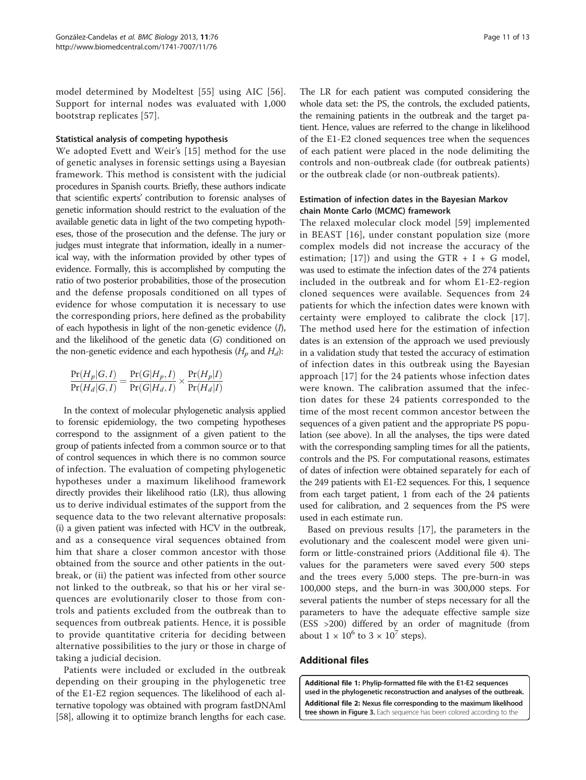<span id="page-10-0"></span>model determined by Modeltest [[55\]](#page-12-0) using AIC [[56](#page-12-0)]. Support for internal nodes was evaluated with 1,000 bootstrap replicates [\[57\]](#page-12-0).

### Statistical analysis of competing hypothesis

We adopted Evett and Weir's [[15\]](#page-11-0) method for the use of genetic analyses in forensic settings using a Bayesian framework. This method is consistent with the judicial procedures in Spanish courts. Briefly, these authors indicate that scientific experts' contribution to forensic analyses of genetic information should restrict to the evaluation of the available genetic data in light of the two competing hypotheses, those of the prosecution and the defense. The jury or judges must integrate that information, ideally in a numerical way, with the information provided by other types of evidence. Formally, this is accomplished by computing the ratio of two posterior probabilities, those of the prosecution and the defense proposals conditioned on all types of evidence for whose computation it is necessary to use the corresponding priors, here defined as the probability of each hypothesis in light of the non-genetic evidence (I), and the likelihood of the genetic data (G) conditioned on the non-genetic evidence and each hypothesis  $(H_p \text{ and } H_d)$ :

$$
\frac{\Pr(H_p|G,I)}{\Pr(H_d|G,I)} = \frac{\Pr(G|H_p,I)}{\Pr(G|H_d,I)} \times \frac{\Pr(H_p|I)}{\Pr(H_d|I)}
$$

In the context of molecular phylogenetic analysis applied to forensic epidemiology, the two competing hypotheses correspond to the assignment of a given patient to the group of patients infected from a common source or to that of control sequences in which there is no common source of infection. The evaluation of competing phylogenetic hypotheses under a maximum likelihood framework directly provides their likelihood ratio (LR), thus allowing us to derive individual estimates of the support from the sequence data to the two relevant alternative proposals: (i) a given patient was infected with HCV in the outbreak, and as a consequence viral sequences obtained from him that share a closer common ancestor with those obtained from the source and other patients in the outbreak, or (ii) the patient was infected from other source not linked to the outbreak, so that his or her viral sequences are evolutionarily closer to those from controls and patients excluded from the outbreak than to sequences from outbreak patients. Hence, it is possible to provide quantitative criteria for deciding between alternative possibilities to the jury or those in charge of taking a judicial decision.

Patients were included or excluded in the outbreak depending on their grouping in the phylogenetic tree of the E1-E2 region sequences. The likelihood of each alternative topology was obtained with program fastDNAml [[58](#page-12-0)], allowing it to optimize branch lengths for each case.

The LR for each patient was computed considering the whole data set: the PS, the controls, the excluded patients, the remaining patients in the outbreak and the target patient. Hence, values are referred to the change in likelihood of the E1-E2 cloned sequences tree when the sequences of each patient were placed in the node delimiting the controls and non-outbreak clade (for outbreak patients) or the outbreak clade (or non-outbreak patients).

# Estimation of infection dates in the Bayesian Markov chain Monte Carlo (MCMC) framework

The relaxed molecular clock model [[59\]](#page-12-0) implemented in BEAST [\[16](#page-11-0)], under constant population size (more complex models did not increase the accuracy of the estimation; [\[17\]](#page-11-0)) and using the GTR + I + G model, was used to estimate the infection dates of the 274 patients included in the outbreak and for whom E1-E2-region cloned sequences were available. Sequences from 24 patients for which the infection dates were known with certainty were employed to calibrate the clock [[17](#page-11-0)]. The method used here for the estimation of infection dates is an extension of the approach we used previously in a validation study that tested the accuracy of estimation of infection dates in this outbreak using the Bayesian approach [[17](#page-11-0)] for the 24 patients whose infection dates were known. The calibration assumed that the infection dates for these 24 patients corresponded to the time of the most recent common ancestor between the sequences of a given patient and the appropriate PS population (see above). In all the analyses, the tips were dated with the corresponding sampling times for all the patients, controls and the PS. For computational reasons, estimates of dates of infection were obtained separately for each of the 249 patients with E1-E2 sequences. For this, 1 sequence from each target patient, 1 from each of the 24 patients used for calibration, and 2 sequences from the PS were used in each estimate run.

Based on previous results [\[17\]](#page-11-0), the parameters in the evolutionary and the coalescent model were given uniform or little-constrained priors (Additional file [4](#page-11-0)). The values for the parameters were saved every 500 steps and the trees every 5,000 steps. The pre-burn-in was 100,000 steps, and the burn-in was 300,000 steps. For several patients the number of steps necessary for all the parameters to have the adequate effective sample size (ESS >200) differed by an order of magnitude (from about  $1 \times 10^6$  to  $3 \times 10^7$  steps).

# Additional files

[Additional file 1:](http://www.biomedcentral.com/content/supplementary/1741-7007-11-76-S1.txt) Phylip-formatted file with the E1-E2 sequences used in the phylogenetic reconstruction and analyses of the outbreak. [Additional file 2:](http://www.biomedcentral.com/content/supplementary/1741-7007-11-76-S2.txt) Nexus file corresponding to the maximum likelihood tree shown in Figure [3.](#page-4-0) Each sequence has been colored according to the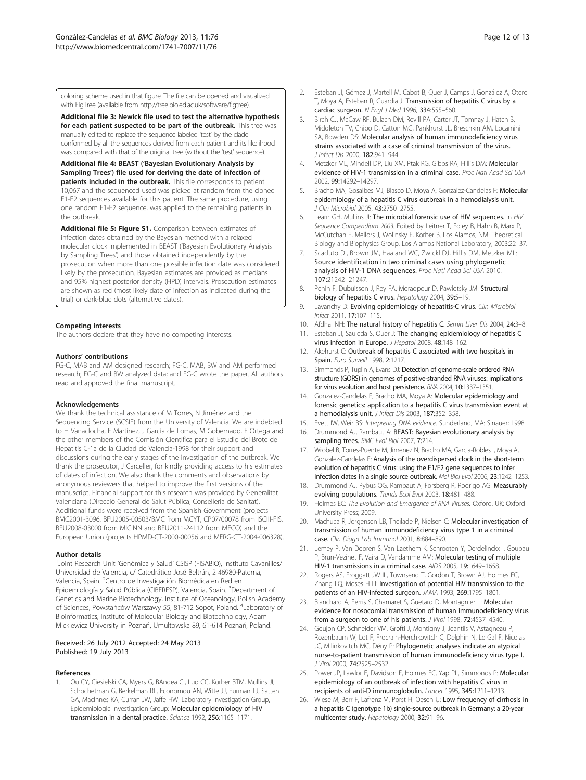<span id="page-11-0"></span>coloring scheme used in that figure. The file can be opened and visualized with FigTree (available from<http://tree.bio.ed.ac.uk/software/figtree>).

[Additional file 3:](http://www.biomedcentral.com/content/supplementary/1741-7007-11-76-S3.txt) Newick file used to test the alternative hypothesis for each patient suspected to be part of the outbreak. This tree was manually edited to replace the sequence labeled 'test' by the clade conformed by all the sequences derived from each patient and its likelihood was compared with that of the original tree (without the 'test' sequence).

[Additional file 4:](http://www.biomedcentral.com/content/supplementary/1741-7007-11-76-S4.txt) BEAST ('Bayesian Evolutionary Analysis by Sampling Trees') file used for deriving the date of infection of patients included in the outbreak. This file corresponds to patient 10,067 and the sequenced used was picked at random from the cloned E1-E2 sequences available for this patient. The same procedure, using one random E1-E2 sequence, was applied to the remaining patients in the outbreak.

[Additional file 5: Figure S1.](http://www.biomedcentral.com/content/supplementary/1741-7007-11-76-S5.pdf) Comparison between estimates of infection dates obtained by the Bayesian method with a relaxed molecular clock implemented in BEAST ('Bayesian Evolutionary Analysis by Sampling Trees') and those obtained independently by the prosecution when more than one possible infection date was considered likely by the prosecution. Bayesian estimates are provided as medians and 95% highest posterior density (HPD) intervals. Prosecution estimates are shown as red (most likely date of infection as indicated during the trial) or dark-blue dots (alternative dates).

#### Competing interests

The authors declare that they have no competing interests.

#### Authors' contributions

FG-C, MAB and AM designed research; FG-C, MAB, BW and AM performed research; FG-C and BW analyzed data; and FG-C wrote the paper. All authors read and approved the final manuscript.

#### Acknowledgements

We thank the technical assistance of M Torres, N Jiménez and the Sequencing Service (SCSIE) from the University of Valencia. We are indebted to H Vanaclocha, F Martínez, J García de Lomas, M Gobernado, E Ortega and the other members of the Comisión Científica para el Estudio del Brote de Hepatitis C-1a de la Ciudad de Valencia-1998 for their support and discussions during the early stages of the investigation of the outbreak. We thank the prosecutor, J Carceller, for kindly providing access to his estimates of dates of infection. We also thank the comments and observations by anonymous reviewers that helped to improve the first versions of the manuscript. Financial support for this research was provided by Generalitat Valenciana (Direcció General de Salut Pública, Conselleria de Sanitat). Additional funds were received from the Spanish Government (projects BMC2001-3096, BFU2005-00503/BMC from MCYT, CP07/00078 from ISCIII-FIS, BFU2008-03000 from MICINN and BFU2011-24112 from MECO) and the European Union (projects HPMD-CT-2000-00056 and MERG-CT-2004-006328).

#### Author details

<sup>1</sup>Joint Research Unit 'Genómica y Salud' CSISP (FISABIO), Instituto Cavanilles/ Universidad de Valencia, c/ Catedrático José Beltrán, 2 46980-Paterna, Valencia, Spain. <sup>2</sup>Centro de Investigación Biomédica en Red en Epidemiología y Salud Pública (CIBERESP), Valencia, Spain. <sup>3</sup>Department of Genetics and Marine Biotechnology, Institute of Oceanology, Polish Academy of Sciences, Powstańców Warszawy 55, 81-712 Sopot, Poland. <sup>4</sup>Laboratory of Bioinformatics, Institute of Molecular Biology and Biotechnology, Adam Mickiewicz University in Poznań, Umultowska 89, 61-614 Poznań, Poland.

#### Received: 26 July 2012 Accepted: 24 May 2013 Published: 19 July 2013

#### References

1. Ou CY, Ciesielski CA, Myers G, BAndea CI, Luo CC, Korber BTM, Mullins JI, Schochetman G, Berkelman RL, Economou AN, Witte JJ, Furman LJ, Satten GA, Maclnnes KA, Curran JW, Jaffe HW, Laboratory Investigation Group, Epidemiologic Investigation Group: Molecular epidemiology of HIV transmission in a dental practice. Science 1992, 256:1165–1171.

- 2. Esteban JI, Gómez J, Martell M, Cabot B, Quer J, Camps J, González A, Otero T, Moya A, Esteban R, Guardia J: Transmission of hepatitis C virus by a cardiac surgeon. N Engl J Med 1996, 334:555–560.
- 3. Birch CJ, McCaw RF, Bulach DM, Revill PA, Carter JT, Tomnay J, Hatch B, Middleton TV, Chibo D, Catton MG, Pankhurst JL, Breschkin AM, Locarnini SA, Bowden DS: Molecular analysis of human immunodeficiency virus strains associated with a case of criminal transmission of the virus. J Infect Dis 2000, 182:941–944.
- 4. Metzker ML, Mindell DP, Liu XM, Ptak RG, Gibbs RA, Hillis DM: Molecular evidence of HIV-1 transmission in a criminal case. Proc Natl Acad Sci USA 2002, 99:14292–14297.
- 5. Bracho MA, Gosalbes MJ, Blasco D, Moya A, Gonzalez-Candelas F: Molecular epidemiology of a hepatitis C virus outbreak in a hemodialysis unit. J Clin Microbiol 2005, 43:2750–2755.
- 6. Learn GH, Mullins JI: The microbial forensic use of HIV sequences. In HIV Sequence Compendium 2003. Edited by Leitner T, Foley B, Hahn B, Marx P, McCutchan F, Mellors J, Wolinsky F, Korber B. Los Alamos, NM: Theoretical Biology and Biophysics Group, Los Alamos National Laboratory; 2003:22–37.
- 7. Scaduto DI, Brown JM, Haaland WC, Zwickl DJ, Hillis DM, Metzker ML: Source identification in two criminal cases using phylogenetic analysis of HIV-1 DNA sequences. Proc Natl Acad Sci USA 2010, 107:21242–21247.
- 8. Penin F, Dubuisson J, Rey FA, Moradpour D, Pawlotsky JM: Structural biology of hepatitis C virus. Hepatology 2004, 39:5–19.
- 9. Lavanchy D: Evolving epidemiology of hepatitis-C virus. Clin Microbiol Infect 2011, 17:107–115.
- 10. Afdhal NH: The natural history of hepatitis C. Semin Liver Dis 2004, 24:3-8.
- 11. Esteban Jl, Sauleda S, Quer J: The changing epidemiology of hepatitis C virus infection in Europe. J Hepatol 2008, 48:148-162.
- 12. Akehurst C: Outbreak of hepatitis C associated with two hospitals in Spain. Euro Surveill 1998, 2:1217.
- 13. Simmonds P, Tuplin A, Evans DJ: Detection of genome-scale ordered RNA structure (GORS) in genomes of positive-stranded RNA viruses: implications for virus evolution and host persistence. RNA 2004, 10:1337–1351.
- 14. Gonzalez-Candelas F, Bracho MA, Moya A: Molecular epidemiology and forensic genetics: application to a hepatitis C virus transmission event at a hemodialysis unit. J Infect Dis 2003, 187:352–358.
- 15. Evett IW, Weir BS: Interpreting DNA evidence. Sunderland, MA: Sinauer; 1998.
- 16. Drummond AJ, Rambaut A: BEAST: Bayesian evolutionary analysis by sampling trees. BMC Evol Biol 2007, 7:214.
- 17. Wrobel B, Torres-Puente M, Jimenez N, Bracho MA, Garcia-Robles I, Moya A, Gonzalez-Candelas F: Analysis of the overdispersed clock in the short-term evolution of hepatitis C virus: using the E1/E2 gene sequences to infer infection dates in a single source outbreak. Mol Biol Evol 2006, 23:1242–1253.
- 18. Drummond AJ, Pybus OG, Rambaut A, Forsberg R, Rodrigo AG: Measurably evolving populations. Trends Ecol Evol 2003, 18:481–488.
- 19. Holmes EC: The Evolution and Emergence of RNA Viruses. Oxford, UK: Oxford University Press; 2009.
- 20. Machuca R, Jorgensen LB, Theilade P, Nielsen C: Molecular investigation of transmission of human immunodeficiency virus type 1 in a criminal case. Clin Diagn Lab Immunol 2001, 8:884–890.
- 21. Lemey P, Van Dooren S, Van Laethem K, Schrooten Y, Derdelinckx I, Goubau P, Brun-Vezinet F, Vaira D, Vandamme AM: Molecular testing of multiple HIV-1 transmissions in a criminal case. AIDS 2005, 19:1649–1658.
- 22. Rogers AS, Froggatt JW III, Townsend T, Gordon T, Brown AJ, Holmes EC, Zhang LQ, Moses H III: Investigation of potential HIV transmission to the patients of an HIV-infected surgeon. JAMA 1993, 269:1795–1801.
- 23. Blanchard A, Ferris S, Chamaret S, Guetard D, Montagnier L: Molecular evidence for nosocomial transmission of human immunodeficiency virus from a surgeon to one of his patients. J Virol 1998, 72:4537-4540.
- 24. Goujon CP, Schneider VM, Grofti J, Montigny J, Jeantils V, Astagneau P, Rozenbaum W, Lot F, Frocrain-Herchkovitch C, Delphin N, Le Gal F, Nicolas JC, Milinkovitch MC, Dény P: Phylogenetic analyses indicate an atypical nurse-to-patient transmission of human immunodeficiency virus type I. J Virol 2000, 74:2525–2532.
- 25. Power JP, Lawlor E, Davidson F, Holmes EC, Yap PL, Simmonds P: Molecular epidemiology of an outbreak of infection with hepatitis C virus in recipients of anti-D immunoglobulin. Lancet 1995, 345:1211–1213.
- 26. Wiese M, Berr F, Lafrenz M, Porst H, Oesen U: Low frequency of cirrhosis in a hepatitis C (genotype 1b) single-source outbreak in Germany: a 20-year multicenter study. Hepatology 2000, 32:91–96.